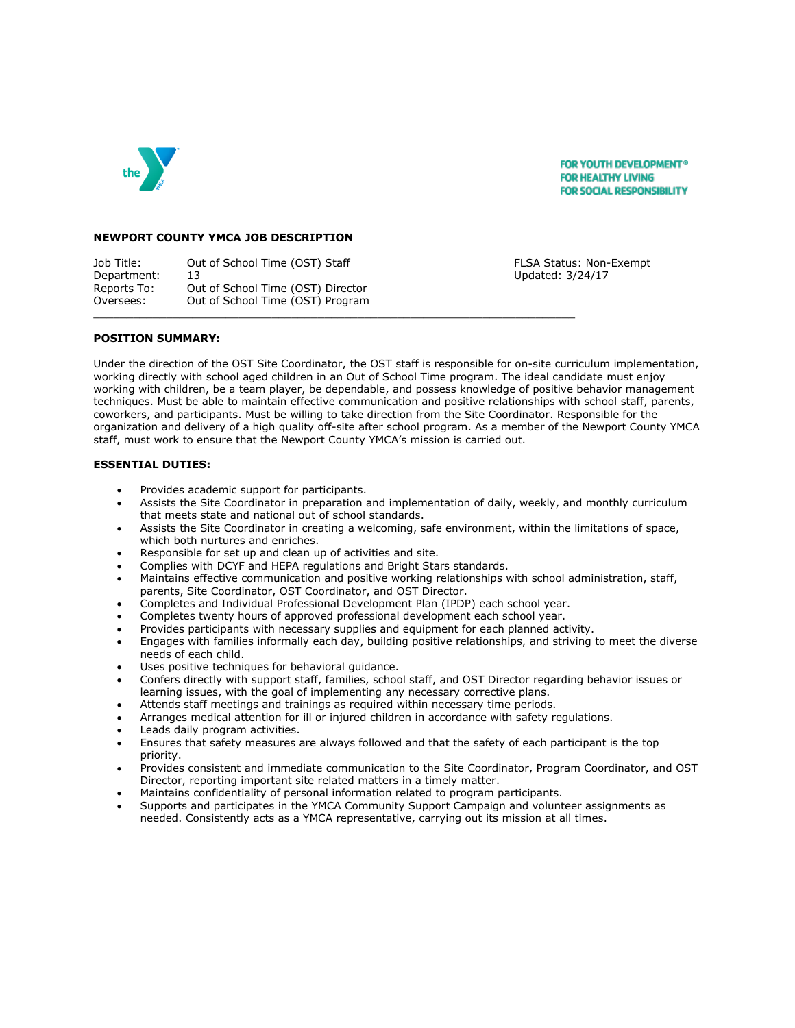

**FOR YOUTH DEVELOPMENT® FOR HEALTHY LIVING FOR SOCIAL RESPONSIBILITY** 

#### **NEWPORT COUNTY YMCA JOB DESCRIPTION**

Job Title: Out of School Time (OST) Staff FLSA Status: Non-Exempt Department: 13 Updated: 3/24/17 Reports To: Out of School Time (OST) Director Oversees: Out of School Time (OST) Program  $\Box$ 

## **POSITION SUMMARY:**

Under the direction of the OST Site Coordinator, the OST staff is responsible for on-site curriculum implementation, working directly with school aged children in an Out of School Time program. The ideal candidate must enjoy working with children, be a team player, be dependable, and possess knowledge of positive behavior management techniques. Must be able to maintain effective communication and positive relationships with school staff, parents, coworkers, and participants. Must be willing to take direction from the Site Coordinator. Responsible for the organization and delivery of a high quality off-site after school program. As a member of the Newport County YMCA staff, must work to ensure that the Newport County YMCA's mission is carried out.

## **ESSENTIAL DUTIES:**

- Provides academic support for participants.
- Assists the Site Coordinator in preparation and implementation of daily, weekly, and monthly curriculum that meets state and national out of school standards.
- Assists the Site Coordinator in creating a welcoming, safe environment, within the limitations of space, which both nurtures and enriches.
- Responsible for set up and clean up of activities and site.
- Complies with DCYF and HEPA regulations and Bright Stars standards.
- Maintains effective communication and positive working relationships with school administration, staff, parents, Site Coordinator, OST Coordinator, and OST Director.
- Completes and Individual Professional Development Plan (IPDP) each school year.
- Completes twenty hours of approved professional development each school year.
- Provides participants with necessary supplies and equipment for each planned activity.
- Engages with families informally each day, building positive relationships, and striving to meet the diverse needs of each child.
- Uses positive techniques for behavioral quidance.
- Confers directly with support staff, families, school staff, and OST Director regarding behavior issues or learning issues, with the goal of implementing any necessary corrective plans.
- Attends staff meetings and trainings as required within necessary time periods.
- Arranges medical attention for ill or injured children in accordance with safety regulations.
- Leads daily program activities.
- Ensures that safety measures are always followed and that the safety of each participant is the top priority.
- Provides consistent and immediate communication to the Site Coordinator, Program Coordinator, and OST Director, reporting important site related matters in a timely matter.
- Maintains confidentiality of personal information related to program participants.
- Supports and participates in the YMCA Community Support Campaign and volunteer assignments as needed. Consistently acts as a YMCA representative, carrying out its mission at all times.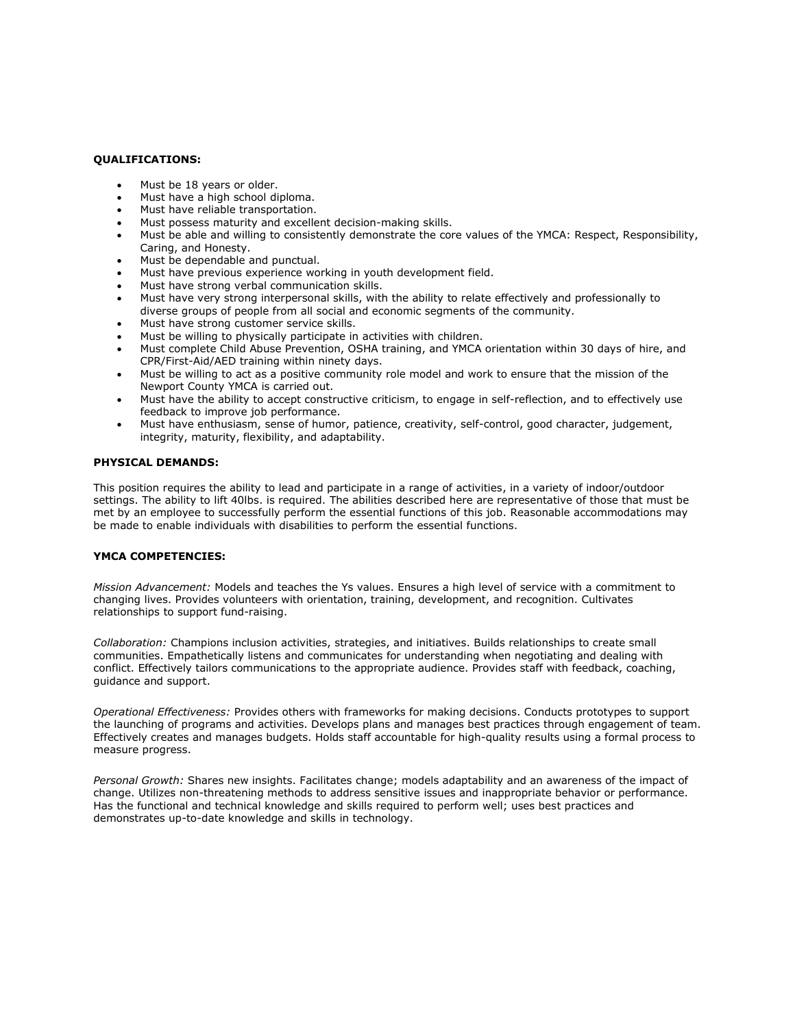# **QUALIFICATIONS:**

- Must be 18 years or older.
- Must have a high school diploma.
- Must have reliable transportation.
- Must possess maturity and excellent decision-making skills.
- Must be able and willing to consistently demonstrate the core values of the YMCA: Respect, Responsibility, Caring, and Honesty.
- Must be dependable and punctual.
- Must have previous experience working in youth development field.
- Must have strong verbal communication skills.
- Must have very strong interpersonal skills, with the ability to relate effectively and professionally to diverse groups of people from all social and economic segments of the community.
- Must have strong customer service skills.
- Must be willing to physically participate in activities with children.
- Must complete Child Abuse Prevention, OSHA training, and YMCA orientation within 30 days of hire, and CPR/First-Aid/AED training within ninety days.
- Must be willing to act as a positive community role model and work to ensure that the mission of the Newport County YMCA is carried out.
- Must have the ability to accept constructive criticism, to engage in self-reflection, and to effectively use feedback to improve job performance.
- Must have enthusiasm, sense of humor, patience, creativity, self-control, good character, judgement, integrity, maturity, flexibility, and adaptability.

#### **PHYSICAL DEMANDS:**

This position requires the ability to lead and participate in a range of activities, in a variety of indoor/outdoor settings. The ability to lift 40lbs. is required. The abilities described here are representative of those that must be met by an employee to successfully perform the essential functions of this job. Reasonable accommodations may be made to enable individuals with disabilities to perform the essential functions.

### **YMCA COMPETENCIES:**

*Mission Advancement:* Models and teaches the Ys values. Ensures a high level of service with a commitment to changing lives. Provides volunteers with orientation, training, development, and recognition. Cultivates relationships to support fund-raising.

*Collaboration:* Champions inclusion activities, strategies, and initiatives. Builds relationships to create small communities. Empathetically listens and communicates for understanding when negotiating and dealing with conflict. Effectively tailors communications to the appropriate audience. Provides staff with feedback, coaching, guidance and support.

*Operational Effectiveness:* Provides others with frameworks for making decisions. Conducts prototypes to support the launching of programs and activities. Develops plans and manages best practices through engagement of team. Effectively creates and manages budgets. Holds staff accountable for high-quality results using a formal process to measure progress.

*Personal Growth:* Shares new insights. Facilitates change; models adaptability and an awareness of the impact of change. Utilizes non-threatening methods to address sensitive issues and inappropriate behavior or performance. Has the functional and technical knowledge and skills required to perform well; uses best practices and demonstrates up-to-date knowledge and skills in technology.